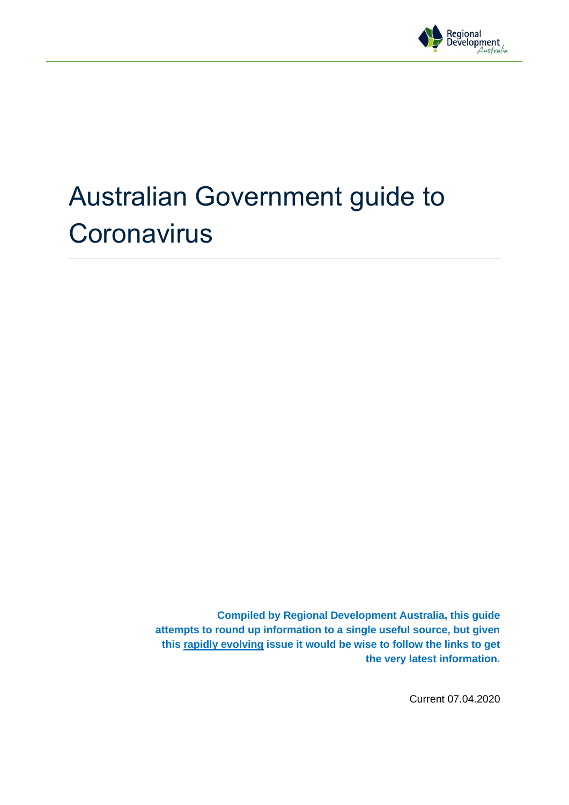

# Australian Government guide to **Coronavirus**

**Compiled by Regional Development Australia, this guide attempts to round up information to a single useful source, but given this rapidly evolving issue it would be wise to follow the links to get the very latest information.**

Current 07.04.2020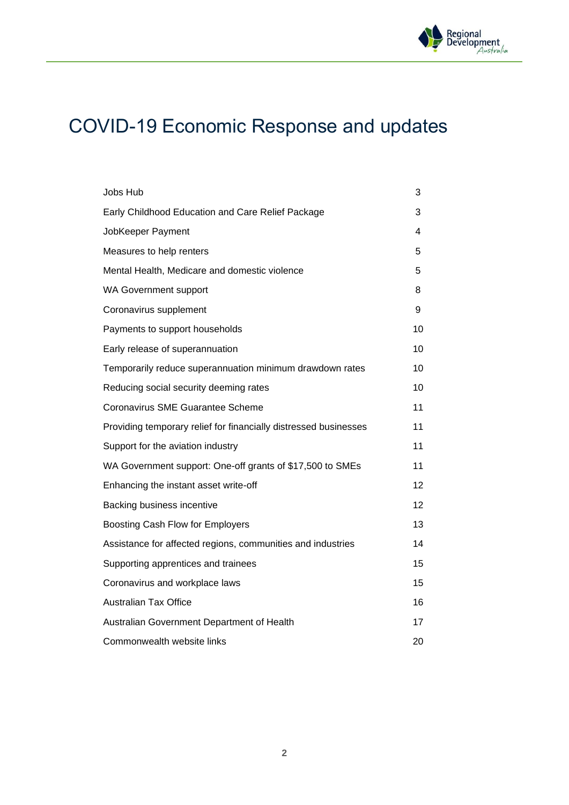

# COVID-19 Economic Response and updates

| Jobs Hub                                                         | 3  |
|------------------------------------------------------------------|----|
| Early Childhood Education and Care Relief Package                | 3  |
| JobKeeper Payment                                                | 4  |
| Measures to help renters                                         | 5  |
| Mental Health, Medicare and domestic violence                    | 5  |
| <b>WA Government support</b>                                     | 8  |
| Coronavirus supplement                                           | 9  |
| Payments to support households                                   | 10 |
| Early release of superannuation                                  | 10 |
| Temporarily reduce superannuation minimum drawdown rates         | 10 |
| Reducing social security deeming rates                           | 10 |
| <b>Coronavirus SME Guarantee Scheme</b>                          | 11 |
| Providing temporary relief for financially distressed businesses | 11 |
| Support for the aviation industry                                | 11 |
| WA Government support: One-off grants of \$17,500 to SMEs        | 11 |
| Enhancing the instant asset write-off                            | 12 |
| Backing business incentive                                       | 12 |
| Boosting Cash Flow for Employers                                 | 13 |
| Assistance for affected regions, communities and industries      | 14 |
| Supporting apprentices and trainees                              | 15 |
| Coronavirus and workplace laws                                   | 15 |
| <b>Australian Tax Office</b>                                     | 16 |
| Australian Government Department of Health                       | 17 |
| Commonwealth website links                                       | 20 |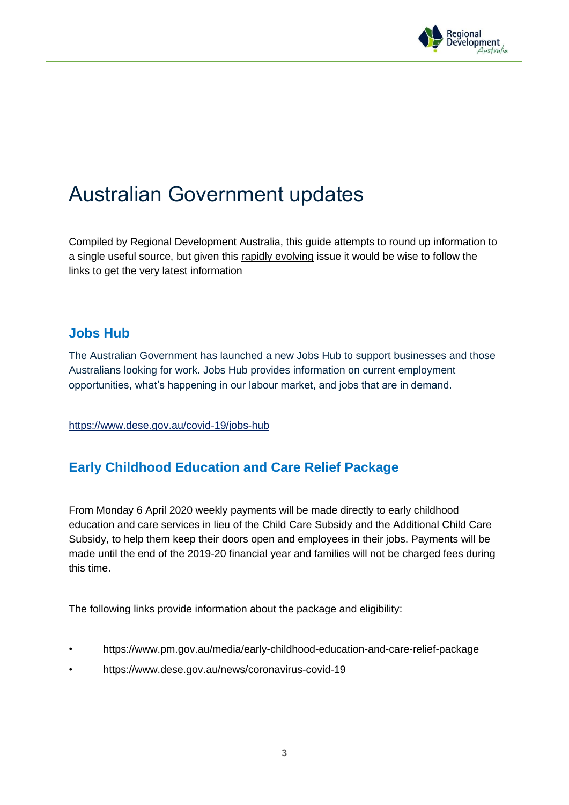

# Australian Government updates

Compiled by Regional Development Australia, this guide attempts to round up information to a single useful source, but given this rapidly evolving issue it would be wise to follow the links to get the very latest information

#### **Jobs Hub**

The Australian Government has launched a new Jobs Hub to support businesses and those Australians looking for work. Jobs Hub provides information on current employment opportunities, what's happening in our labour market, and jobs that are in demand.

<https://www.dese.gov.au/covid-19/jobs-hub>

# **Early Childhood Education and Care Relief Package**

From Monday 6 April 2020 weekly payments will be made directly to early childhood education and care services in lieu of the Child Care Subsidy and the Additional Child Care Subsidy, to help them keep their doors open and employees in their jobs. Payments will be made until the end of the 2019-20 financial year and families will not be charged fees during this time.

The following links provide information about the package and eligibility:

- https://www.pm.gov.au/media/early-childhood-education-and-care-relief-package
- https://www.dese.gov.au/news/coronavirus-covid-19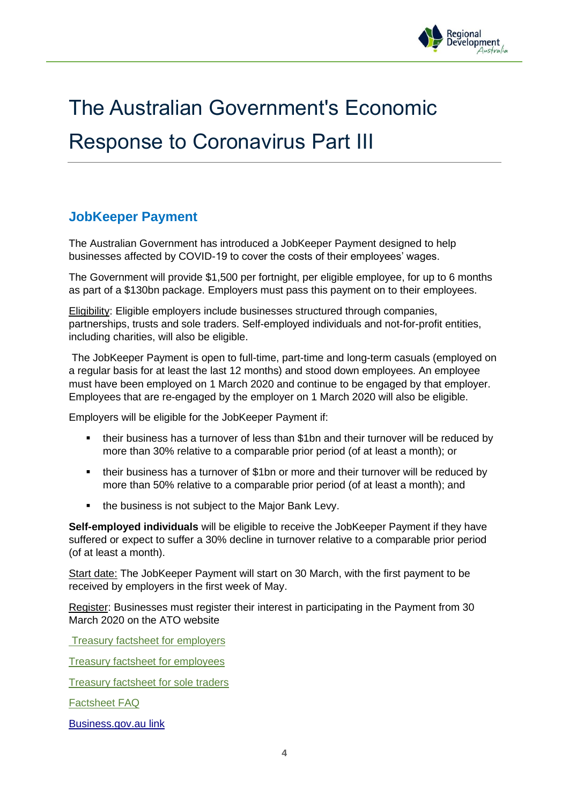

# The Australian Government's Economic Response to Coronavirus Part III

# **JobKeeper Payment**

The Australian Government has introduced a JobKeeper Payment designed to help businesses affected by COVID-19 to cover the costs of their employees' wages.

The Government will provide \$1,500 per fortnight, per eligible employee, for up to 6 months as part of a \$130bn package. Employers must pass this payment on to their employees.

Eligibility: Eligible employers include businesses structured through companies, partnerships, trusts and sole traders. Self-employed individuals and not-for-profit entities, including charities, will also be eligible.

The JobKeeper Payment is open to full-time, part-time and long-term casuals (employed on a regular basis for at least the last 12 months) and stood down employees. An employee must have been employed on 1 March 2020 and continue to be engaged by that employer. Employees that are re-engaged by the employer on 1 March 2020 will also be eligible.

Employers will be eligible for the JobKeeper Payment if:

- their business has a turnover of less than \$1bn and their turnover will be reduced by more than 30% relative to a comparable prior period (of at least a month); or
- their business has a turnover of \$1bn or more and their turnover will be reduced by more than 50% relative to a comparable prior period (of at least a month); and
- the business is not subject to the Major Bank Levy.

**Self-employed individuals** will be eligible to receive the JobKeeper Payment if they have suffered or expect to suffer a 30% decline in turnover relative to a comparable prior period (of at least a month).

Start date: The JobKeeper Payment will start on 30 March, with the first payment to be received by employers in the first week of May.

Register: Businesses must register their interest in participating in the Payment from 30 March 2020 on the ATO website

**[Treasury factsheet](https://treasury.gov.au/sites/default/files/2020-04/Fact_sheet_Info_for_Employers_0.pdf) for employers** 

[Treasury factsheet for employees](https://treasury.gov.au/sites/default/files/2020-04/Fact_sheet_Info_for_Employees_0.pdf)

[Treasury factsheet for sole traders](https://treasury.gov.au/sites/default/files/2020-04/Fact_sheet-Support_for_sole_traders.pdf)

[Factsheet FAQ](https://treasury.gov.au/sites/default/files/2020-04/JobKeeper_frequently_asked_questions_0.pdf)

[Business.gov.au](https://business.gov.au/Risk-management/Emergency-management/Coronavirus-information-and-support-for-business/JobKeeper-payment) link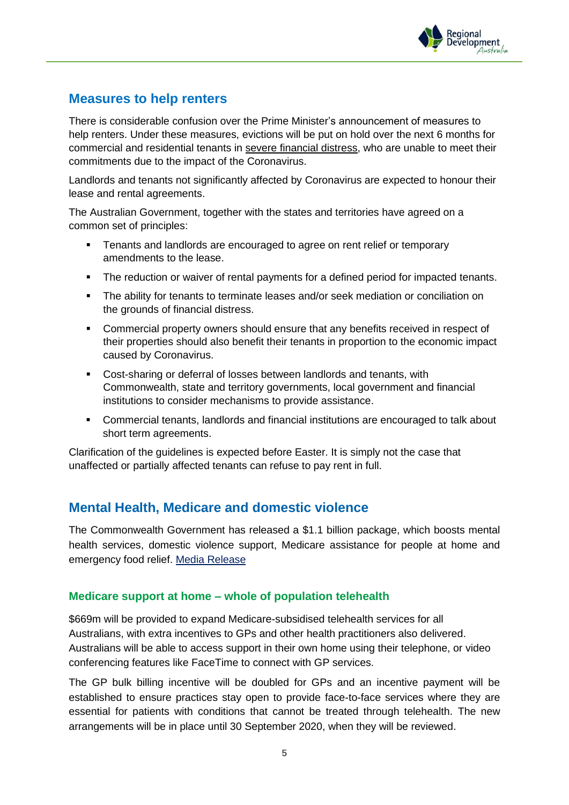

### **Measures to help renters**

There is considerable confusion over the Prime Minister's announcement of measures to help renters. Under these measures, evictions will be put on hold over the next 6 months for commercial and residential tenants in severe financial distress, who are unable to meet their commitments due to the impact of the Coronavirus.

Landlords and tenants not significantly affected by Coronavirus are expected to honour their lease and rental agreements.

The Australian Government, together with the states and territories have agreed on a common set of principles:

- **EXECT** Tenants and landlords are encouraged to agree on rent relief or temporary amendments to the lease.
- **•** The reduction or waiver of rental payments for a defined period for impacted tenants.
- **•** The ability for tenants to terminate leases and/or seek mediation or conciliation on the grounds of financial distress.
- Commercial property owners should ensure that any benefits received in respect of their properties should also benefit their tenants in proportion to the economic impact caused by Coronavirus.
- Cost-sharing or deferral of losses between landlords and tenants, with Commonwealth, state and territory governments, local government and financial institutions to consider mechanisms to provide assistance.
- Commercial tenants, landlords and financial institutions are encouraged to talk about short term agreements.

Clarification of the guidelines is expected before Easter. It is simply not the case that unaffected or partially affected tenants can refuse to pay rent in full.

# **Mental Health, Medicare and domestic violence**

The Commonwealth Government has released a \$1.1 billion package, which boosts mental health services, domestic violence support, Medicare assistance for people at home and emergency food relief. [Media Release](https://www.pm.gov.au/media/11-billion-support-more-mental-health-medicare-and-domestic-violence-services-0)

#### **Medicare support at home – whole of population telehealth**

\$669m will be provided to expand Medicare-subsidised telehealth services for all Australians, with extra incentives to GPs and other health practitioners also delivered. Australians will be able to access support in their own home using their telephone, or video conferencing features like FaceTime to connect with GP services.

The GP bulk billing incentive will be doubled for GPs and an incentive payment will be established to ensure practices stay open to provide face-to-face services where they are essential for patients with conditions that cannot be treated through telehealth. The new arrangements will be in place until 30 September 2020, when they will be reviewed.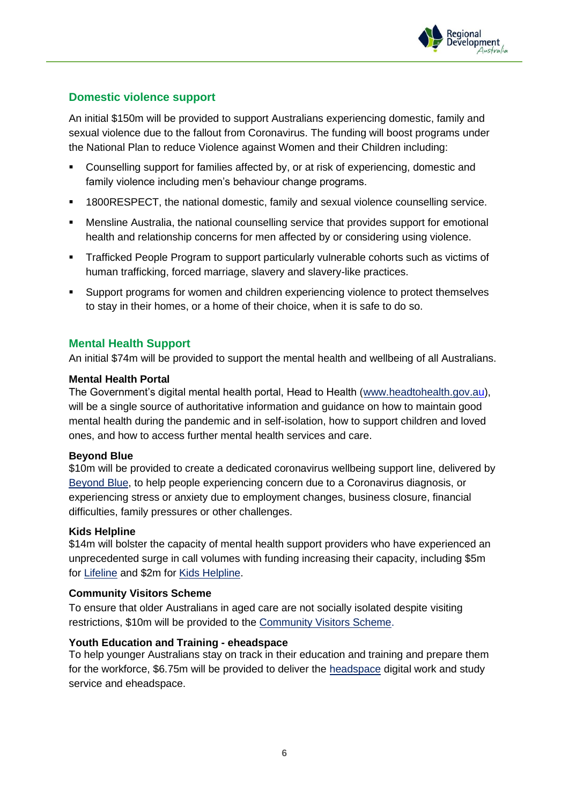

#### **Domestic violence support**

An initial \$150m will be provided to support Australians experiencing domestic, family and sexual violence due to the fallout from Coronavirus. The funding will boost programs under the National Plan to reduce Violence against Women and their Children including:

- Counselling support for families affected by, or at risk of experiencing, domestic and family violence including men's behaviour change programs.
- 1800RESPECT, the national domestic, family and sexual violence counselling service.
- Mensline Australia, the national counselling service that provides support for emotional health and relationship concerns for men affected by or considering using violence.
- **EXECT** Trafficked People Program to support particularly vulnerable cohorts such as victims of human trafficking, forced marriage, slavery and slavery-like practices.
- Support programs for women and children experiencing violence to protect themselves to stay in their homes, or a home of their choice, when it is safe to do so.

#### **Mental Health Support**

An initial \$74m will be provided to support the mental health and wellbeing of all Australians.

#### **Mental Health Portal**

The Government's digital mental health portal, Head to Health [\(www.headtohealth.gov.au\)](https://headtohealth.gov.au/), will be a single source of authoritative information and guidance on how to maintain good mental health during the pandemic and in self-isolation, how to support children and loved ones, and how to access further mental health services and care.

#### **Beyond Blue**

\$10m will be provided to create a dedicated coronavirus wellbeing support line, delivered by [Beyond Blue,](https://www.beyondblue.org.au/get-support/national-help-lines-and-websites) to help people experiencing concern due to a Coronavirus diagnosis, or experiencing stress or anxiety due to employment changes, business closure, financial difficulties, family pressures or other challenges.

#### **Kids Helpline**

\$14m will bolster the capacity of mental health support providers who have experienced an unprecedented surge in call volumes with funding increasing their capacity, including \$5m for [Lifeline](https://www.lifeline.org.au/) and \$2m for [Kids Helpline.](https://kidshelpline.com.au/)

#### **Community Visitors Scheme**

To ensure that older Australians in aged care are not socially isolated despite visiting restrictions, \$10m will be provided to the [Community Visitors Scheme.](https://www.health.gov.au/initiatives-and-programs/community-visitors-scheme-cvs)

#### **Youth Education and Training - eheadspace**

To help younger Australians stay on track in their education and training and prepare them for the workforce, \$6.75m will be provided to deliver the [headspace](https://www.headspace.com/) digital work and study service and eheadspace.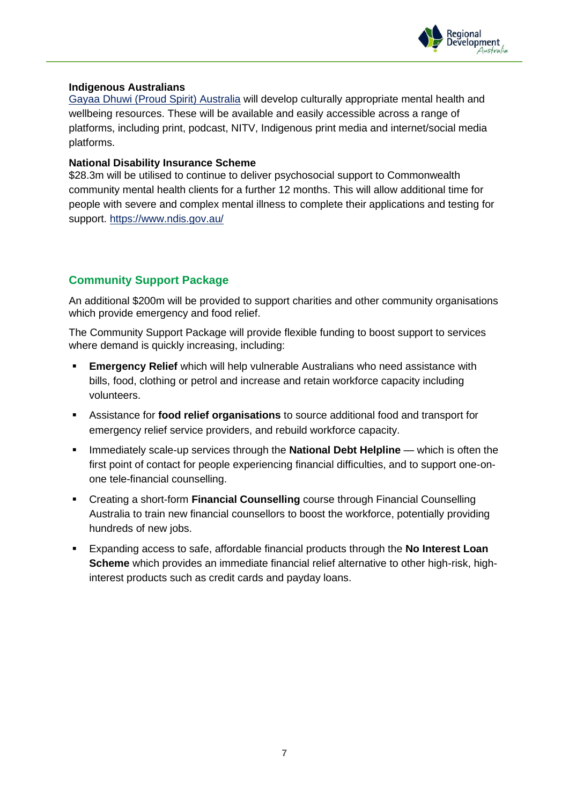

#### **Indigenous Australians**

[Gayaa Dhuwi \(Proud Spirit\) Australia](https://natsilmh.org.au/) will develop culturally appropriate mental health and wellbeing resources. These will be available and easily accessible across a range of platforms, including print, podcast, NITV, Indigenous print media and internet/social media platforms.

#### **National Disability Insurance Scheme**

\$28.3m will be utilised to continue to deliver psychosocial support to Commonwealth community mental health clients for a further 12 months. This will allow additional time for people with severe and complex mental illness to complete their applications and testing for support.<https://www.ndis.gov.au/>

#### **Community Support Package**

An additional \$200m will be provided to support charities and other community organisations which provide emergency and food relief.

The Community Support Package will provide flexible funding to boost support to services where demand is quickly increasing, including:

- **Emergency Relief** which will help vulnerable Australians who need assistance with bills, food, clothing or petrol and increase and retain workforce capacity including volunteers.
- Assistance for **food relief organisations** to source additional food and transport for emergency relief service providers, and rebuild workforce capacity.
- **EXECT** Immediately scale-up services through the **National Debt Helpline** which is often the first point of contact for people experiencing financial difficulties, and to support one-onone tele-financial counselling.
- Creating a short-form **Financial Counselling** course through Financial Counselling Australia to train new financial counsellors to boost the workforce, potentially providing hundreds of new jobs.
- Expanding access to safe, affordable financial products through the **No Interest Loan Scheme** which provides an immediate financial relief alternative to other high-risk, highinterest products such as credit cards and payday loans.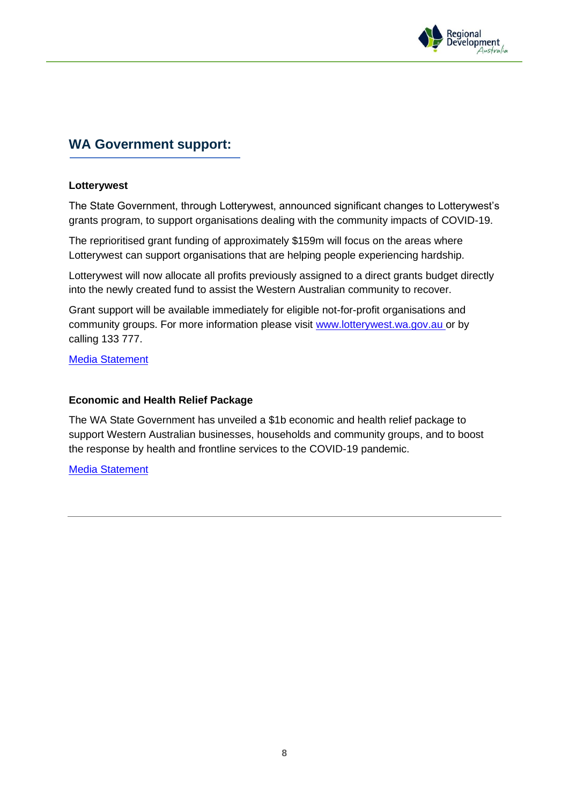

#### **WA Government support:**

#### **Lotterywest**

The State Government, through Lotterywest, announced significant changes to Lotterywest's grants program, to support organisations dealing with the community impacts of COVID-19.

The reprioritised grant funding of approximately \$159m will focus on the areas where Lotterywest can support organisations that are helping people experiencing hardship.

Lotterywest will now allocate all profits previously assigned to a direct grants budget directly into the newly created fund to assist the Western Australian community to recover.

Grant support will be available immediately for eligible not-for-profit organisations and community groups. For more information please visit [www.lotterywest.wa.gov.au](https://woocomcampaigner.woocom.com.au/ch/73203/17spt/2169647/89PNOEU97bwqIrd61EqfyLChQeZbbXPYwyiUliNQ.html) or by calling 133 777.

[Media Statement](https://www.mediastatements.wa.gov.au/Pages/McGowan/2020/03/159-million-dollar-COVID-19-Relief-Fund-to-provide-crisis-support.aspx)

#### **Economic and Health Relief Package**

The WA State Government has unveiled a \$1b economic and health relief package to support Western Australian businesses, households and community groups, and to boost the response by health and frontline services to the COVID-19 pandemic.

[Media Statement](https://www.mediastatements.wa.gov.au/Pages/McGowan/2020/03/$1-billion-COVID-19-economic-and-health-relief-package-unveiled-.aspx)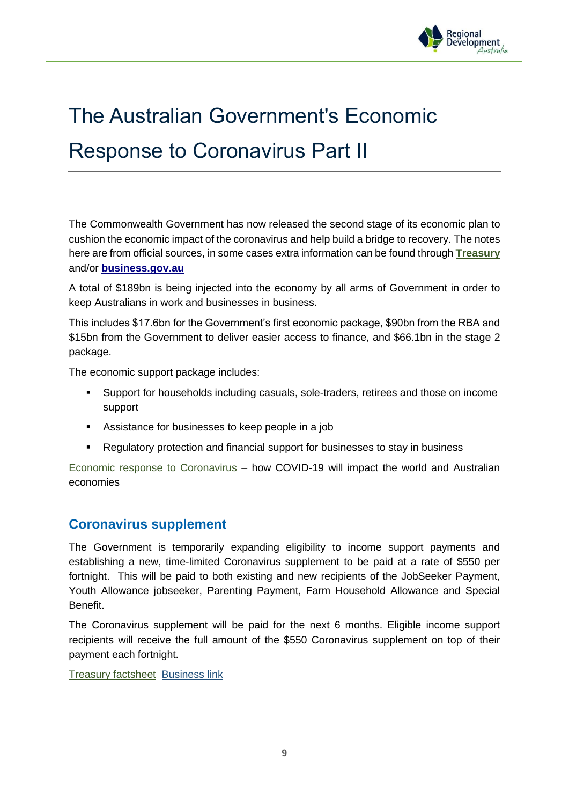

# The Australian Government's Economic Response to Coronavirus Part II

The Commonwealth Government has now released the second stage of its economic plan to cushion the economic impact of the coronavirus and help build a bridge to recovery. The notes here are from official sources, in some cases extra information can be found through **[Treasury](https://treasury.gov.au/coronavirus/)** and/or **[business.gov.au](https://business.gov.au/)**

A total of \$189bn is being injected into the economy by all arms of Government in order to keep Australians in work and businesses in business.

This includes \$17.6bn for the Government's first economic package, \$90bn from the RBA and \$15bn from the Government to deliver easier access to finance, and \$66.1bn in the stage 2 package.

The economic support package includes:

- Support for households including casuals, sole-traders, retirees and those on income support
- Assistance for businesses to keep people in a job
- Regulatory protection and financial support for businesses to stay in business

[Economic response to Coronavirus](https://treasury.gov.au/sites/default/files/2020-03/Overview-Economic_Response_to_the_Coronavirus_0.pdf) – how COVID-19 will impact the world and Australian economies

#### **Coronavirus supplement**

The Government is temporarily expanding eligibility to income support payments and establishing a new, time-limited Coronavirus supplement to be paid at a rate of \$550 per fortnight. This will be paid to both existing and new recipients of the JobSeeker Payment, Youth Allowance jobseeker, Parenting Payment, Farm Household Allowance and Special Benefit.

The Coronavirus supplement will be paid for the next 6 months. Eligible income support recipients will receive the full amount of the \$550 Coronavirus supplement on top of their payment each fortnight.

[Treasury factsheet](https://treasury.gov.au/sites/default/files/2020-03/Fact_sheet-Income_Support_for_Individuals.pdf) [Business link](https://business.gov.au/Risk-management/Emergency-management/Coronavirus-information-and-support-for-business/Increased-and-accelerated-income-support)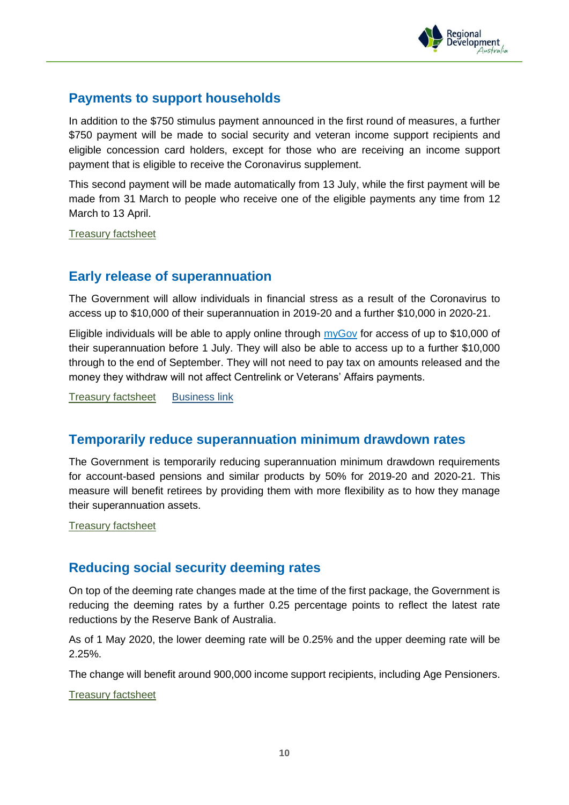

### **Payments to support households**

In addition to the \$750 stimulus payment announced in the first round of measures, a further \$750 payment will be made to social security and veteran income support recipients and eligible concession card holders, except for those who are receiving an income support payment that is eligible to receive the Coronavirus supplement.

This second payment will be made automatically from 13 July, while the first payment will be made from 31 March to people who receive one of the eligible payments any time from 12 March to 13 April.

[Treasury factsheet](https://treasury.gov.au/sites/default/files/2020-03/Fact_sheet-Payments_to_support_households.pdf)

#### **Early release of superannuation**

The Government will allow individuals in financial stress as a result of the Coronavirus to access up to \$10,000 of their superannuation in 2019-20 and a further \$10,000 in 2020-21.

Eligible individuals will be able to apply online through [myGov](https://www.centrelink.gov.au/) for access of up to \$10,000 of their superannuation before 1 July. They will also be able to access up to a further \$10,000 through to the end of September. They will not need to pay tax on amounts released and the money they withdraw will not affect Centrelink or Veterans' Affairs payments.

[Treasury factsheet](https://treasury.gov.au/sites/default/files/2020-03/Fact_sheet-Early_Access_to_Super_1.pdf) [Business link](https://business.gov.au/Risk-management/Emergency-management/Coronavirus-information-and-support-for-business/Early-access-to-superannuation)

#### **Temporarily reduce superannuation minimum drawdown rates**

The Government is temporarily reducing superannuation minimum drawdown requirements for account-based pensions and similar products by 50% for 2019-20 and 2020-21. This measure will benefit retirees by providing them with more flexibility as to how they manage their superannuation assets.

[Treasury factsheet](https://treasury.gov.au/sites/default/files/2020-03/Fact_sheet-Providing_support_for_retirees_to_manage_market_volatility.pdf)

#### **Reducing social security deeming rates**

On top of the deeming rate changes made at the time of the first package, the Government is reducing the deeming rates by a further 0.25 percentage points to reflect the latest rate reductions by the Reserve Bank of Australia.

As of 1 May 2020, the lower deeming rate will be 0.25% and the upper deeming rate will be 2.25%.

The change will benefit around 900,000 income support recipients, including Age Pensioners.

[Treasury factsheet](https://treasury.gov.au/sites/default/files/2020-03/Fact_sheet-Providing_support_for_retirees_to_manage_market_volatility.pdf)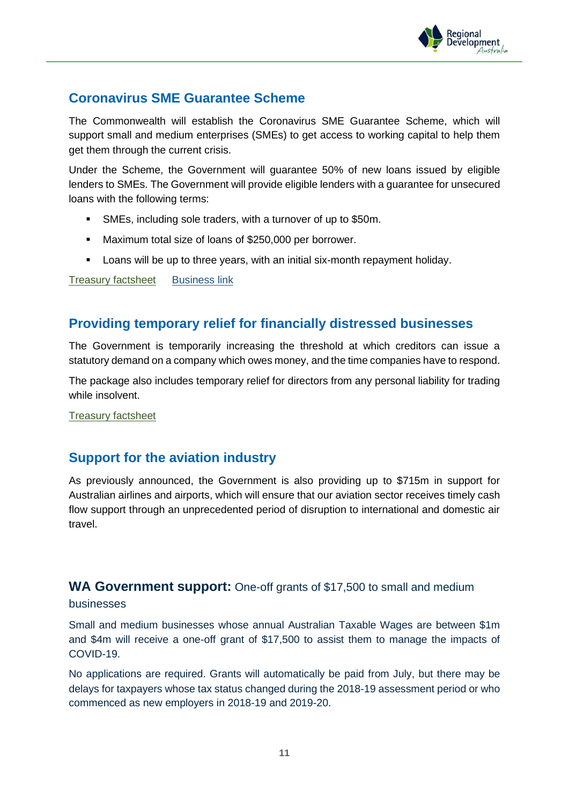

## **Coronavirus SME Guarantee Scheme**

The Commonwealth will establish the Coronavirus SME Guarantee Scheme, which will support small and medium enterprises (SMEs) to get access to working capital to help them get them through the current crisis.

Under the Scheme, the Government will guarantee 50% of new loans issued by eligible lenders to SMEs. The Government will provide eligible lenders with a guarantee for unsecured loans with the following terms:

- **EXEL**S. including sole traders, with a turnover of up to \$50m.
- Maximum total size of loans of \$250,000 per borrower.
- Loans will be up to three years, with an initial six-month repayment holiday.

[Treasury factsheet](https://treasury.gov.au/coronavirus/sme-guarantee-scheme) [Business link](https://business.gov.au/Risk-management/Emergency-management/Coronavirus-information-and-support-for-business/Coronavirus-SME-Guarantee-Scheme)

## **Providing temporary relief for financially distressed businesses**

The Government is temporarily increasing the threshold at which creditors can issue a statutory demand on a company which owes money, and the time companies have to respond.

The package also includes temporary relief for directors from any personal liability for trading while insolvent.

[Treasury factsheet](https://treasury.gov.au/sites/default/files/2020-03/Fact_sheet-Providing_temporary_relief_for_financially_distressed_businesses.pdf)

#### **Support for the aviation industry**

As previously announced, the Government is also providing up to \$715m in support for Australian airlines and airports, which will ensure that our aviation sector receives timely cash flow support through an unprecedented period of disruption to international and domestic air travel.

#### **WA Government support:** One-off grants of \$17,500 to small and medium businesses

Small and medium businesses whose annual Australian Taxable Wages are between \$1m and \$4m will receive a one-off grant of \$17,500 to assist them to manage the impacts of COVID-19.

No applications are required. Grants will automatically be paid from July, but there may be delays for taxpayers whose tax status changed during the 2018-19 assessment period or who commenced as new employers in 2018-19 and 2019-20.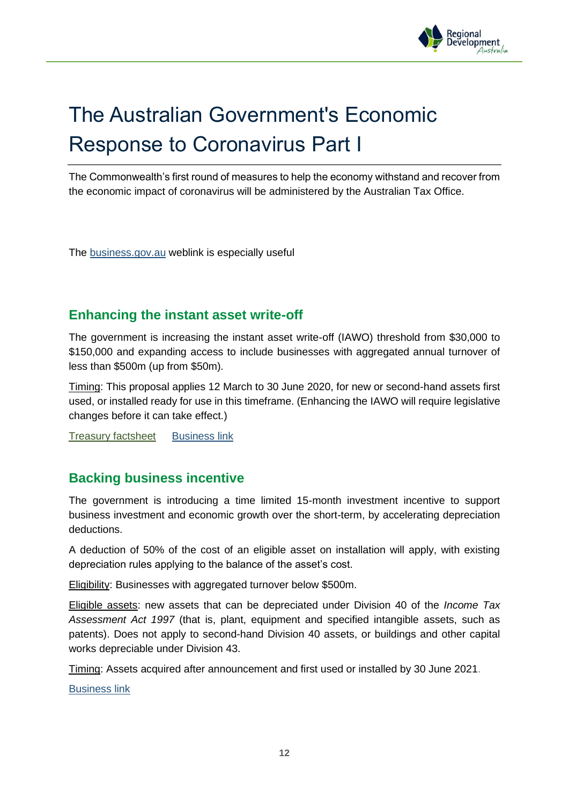

# The Australian Government's Economic Response to Coronavirus Part I

The Commonwealth's first round of measures to help the economy withstand and recover from the economic impact of coronavirus will be administered by the Australian Tax Office.

The [business.gov.au](https://www.business.gov.au/Risk-management/Emergency-management/Coronavirus-information-and-support-for-business) weblink is especially useful

## **Enhancing the instant asset write-off**

The government is increasing the instant asset write-off (IAWO) threshold from \$30,000 to \$150,000 and expanding access to include businesses with aggregated annual turnover of less than \$500m (up from \$50m).

Timing: This proposal applies 12 March to 30 June 2020, for new or second-hand assets first used, or installed ready for use in this timeframe. (Enhancing the IAWO will require legislative changes before it can take effect.)

[Treasury factsheet](https://treasury.gov.au/sites/default/files/2020-03/Fact_Sheet-Delivering_support_for_business_investment.pdf) [Business link](https://business.gov.au/Risk-management/Emergency-management/Coronavirus-information-and-support-for-business/Instant-Asset-Write-Off)

#### **Backing business incentive**

The government is introducing a time limited 15-month investment incentive to support business investment and economic growth over the short-term, by accelerating depreciation deductions.

A deduction of 50% of the cost of an eligible asset on installation will apply, with existing depreciation rules applying to the balance of the asset's cost.

Eligibility: Businesses with aggregated turnover below \$500m.

Eligible assets: new assets that can be depreciated under Division 40 of the *Income Tax Assessment Act 1997* (that is, plant, equipment and specified intangible assets, such as patents). Does not apply to second-hand Division 40 assets, or buildings and other capital works depreciable under Division 43.

Timing: Assets acquired after announcement and first used or installed by 30 June 2021.

[Business link](https://business.gov.au/Risk-management/Emergency-management/Coronavirus-information-and-support-for-business/Backing-Business-Investment-BBI)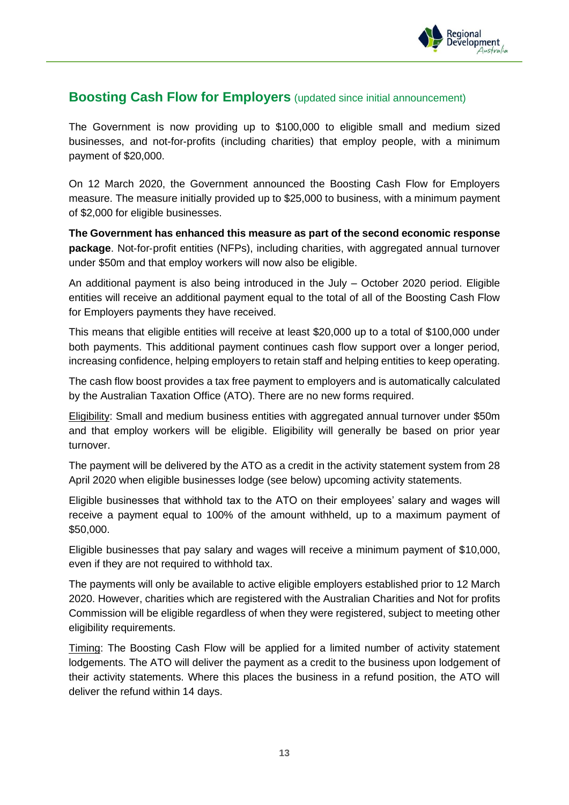

#### **Boosting Cash Flow for Employers** (updated since initial announcement)

The Government is now providing up to \$100,000 to eligible small and medium sized businesses, and not-for-profits (including charities) that employ people, with a minimum payment of \$20,000.

On 12 March 2020, the Government announced the Boosting Cash Flow for Employers measure. The measure initially provided up to \$25,000 to business, with a minimum payment of \$2,000 for eligible businesses.

**The Government has enhanced this measure as part of the second economic response package**. Not-for-profit entities (NFPs), including charities, with aggregated annual turnover under \$50m and that employ workers will now also be eligible.

An additional payment is also being introduced in the July – October 2020 period. Eligible entities will receive an additional payment equal to the total of all of the Boosting Cash Flow for Employers payments they have received.

This means that eligible entities will receive at least \$20,000 up to a total of \$100,000 under both payments. This additional payment continues cash flow support over a longer period, increasing confidence, helping employers to retain staff and helping entities to keep operating.

The cash flow boost provides a tax free payment to employers and is automatically calculated by the Australian Taxation Office (ATO). There are no new forms required.

Eligibility: Small and medium business entities with aggregated annual turnover under \$50m and that employ workers will be eligible. Eligibility will generally be based on prior year turnover.

The payment will be delivered by the ATO as a credit in the activity statement system from 28 April 2020 when eligible businesses lodge (see below) upcoming activity statements.

Eligible businesses that withhold tax to the ATO on their employees' salary and wages will receive a payment equal to 100% of the amount withheld, up to a maximum payment of \$50,000.

Eligible businesses that pay salary and wages will receive a minimum payment of \$10,000, even if they are not required to withhold tax.

The payments will only be available to active eligible employers established prior to 12 March 2020. However, charities which are registered with the Australian Charities and Not for profits Commission will be eligible regardless of when they were registered, subject to meeting other eligibility requirements.

Timing: The Boosting Cash Flow will be applied for a limited number of activity statement lodgements. The ATO will deliver the payment as a credit to the business upon lodgement of their activity statements. Where this places the business in a refund position, the ATO will deliver the refund within 14 days.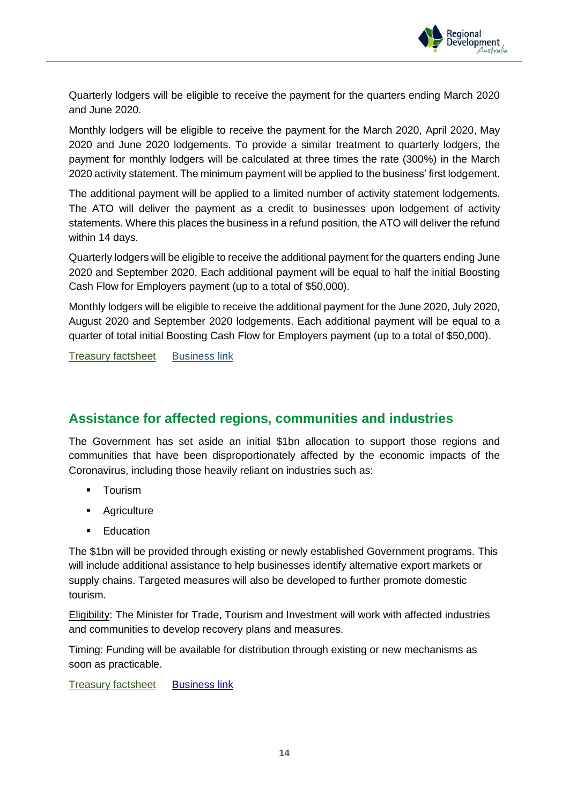

Quarterly lodgers will be eligible to receive the payment for the quarters ending March 2020 and June 2020.

Monthly lodgers will be eligible to receive the payment for the March 2020, April 2020, May 2020 and June 2020 lodgements. To provide a similar treatment to quarterly lodgers, the payment for monthly lodgers will be calculated at three times the rate (300%) in the March 2020 activity statement. The minimum payment will be applied to the business' first lodgement.

The additional payment will be applied to a limited number of activity statement lodgements. The ATO will deliver the payment as a credit to businesses upon lodgement of activity statements. Where this places the business in a refund position, the ATO will deliver the refund within 14 days.

Quarterly lodgers will be eligible to receive the additional payment for the quarters ending June 2020 and September 2020. Each additional payment will be equal to half the initial Boosting Cash Flow for Employers payment (up to a total of \$50,000).

Monthly lodgers will be eligible to receive the additional payment for the June 2020, July 2020, August 2020 and September 2020 lodgements. Each additional payment will be equal to a quarter of total initial Boosting Cash Flow for Employers payment (up to a total of \$50,000).

[Treasury factsheet](https://treasury.gov.au/sites/default/files/2020-04/fact_sheet-boosting_cash_flow_for_employers.pdf) [Business link](https://business.gov.au/Risk-management/Emergency-management/Coronavirus-information-and-support-for-business/Boosting-cash-flow-for-employers)

# **Assistance for affected regions, communities and industries**

The Government has set aside an initial \$1bn allocation to support those regions and communities that have been disproportionately affected by the economic impacts of the Coronavirus, including those heavily reliant on industries such as:

- **•** Tourism
- Agriculture
- Education

The \$1bn will be provided through existing or newly established Government programs. This will include additional assistance to help businesses identify alternative export markets or supply chains. Targeted measures will also be developed to further promote domestic tourism.

Eligibility: The Minister for Trade, Tourism and Investment will work with affected industries and communities to develop recovery plans and measures.

Timing: Funding will be available for distribution through existing or new mechanisms as soon as practicable.

[Treasury factsheet](https://treasury.gov.au/sites/default/files/2020-03/Fact_sheet-Assistance_for_severely_affected_regions_and_sectors.pdf) [Business link](https://business.gov.au/Risk-management/Emergency-management/Coronavirus-information-and-support-for-business/Assistance-for-severely-affected-regions-communities-and-industries)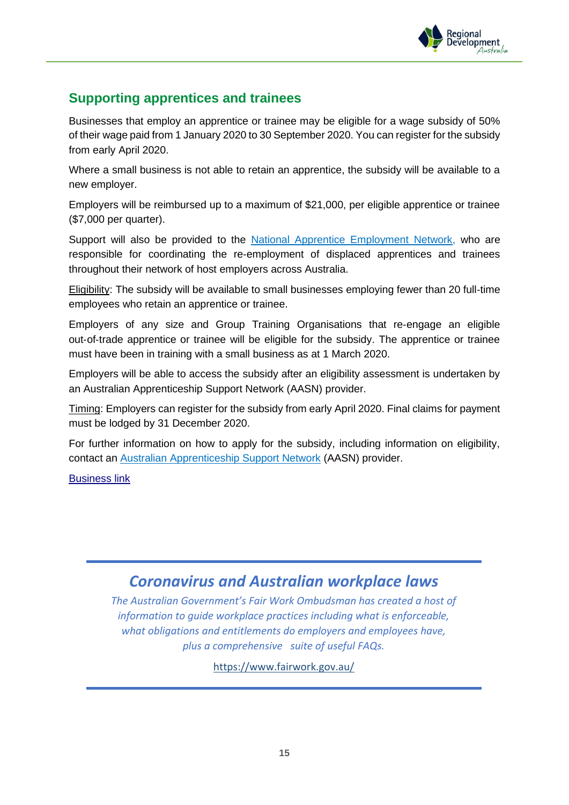

# **Supporting apprentices and trainees**

Businesses that employ an apprentice or trainee may be eligible for a wage subsidy of 50% of their wage paid from 1 January 2020 to 30 September 2020. You can register for the subsidy from early April 2020.

Where a small business is not able to retain an apprentice, the subsidy will be available to a new employer.

Employers will be reimbursed up to a maximum of \$21,000, per eligible apprentice or trainee (\$7,000 per quarter).

Support will also be provided to the [National Apprentice Employment Network,](https://naen.com.au/) who are responsible for coordinating the re‑employment of displaced apprentices and trainees throughout their network of host employers across Australia.

Eligibility: The subsidy will be available to small businesses employing fewer than 20 full‑time employees who retain an apprentice or trainee.

Employers of any size and Group Training Organisations that re‑engage an eligible out-of-trade apprentice or trainee will be eligible for the subsidy. The apprentice or trainee must have been in training with a small business as at 1 March 2020.

Employers will be able to access the subsidy after an eligibility assessment is undertaken by an Australian Apprenticeship Support Network (AASN) provider.

Timing: Employers can register for the subsidy from early April 2020. Final claims for payment must be lodged by 31 December 2020.

For further information on how to apply for the subsidy, including information on eligibility, contact an [Australian Apprenticeship Support Network](https://www.australianapprenticeships.gov.au/) (AASN) provider.

[Business link](https://business.gov.au/Risk-management/Emergency-management/Coronavirus-information-and-support-for-business/Supporting-apprentices-and-trainees)

# *Coronavirus and Australian workplace laws*

*The Australian Government's Fair Work Ombudsman has created a host of information to guide workplace practices including what is enforceable, what obligations and entitlements do employers and employees have, plus a comprehensive suite of useful FAQs.*

<https://www.fairwork.gov.au/>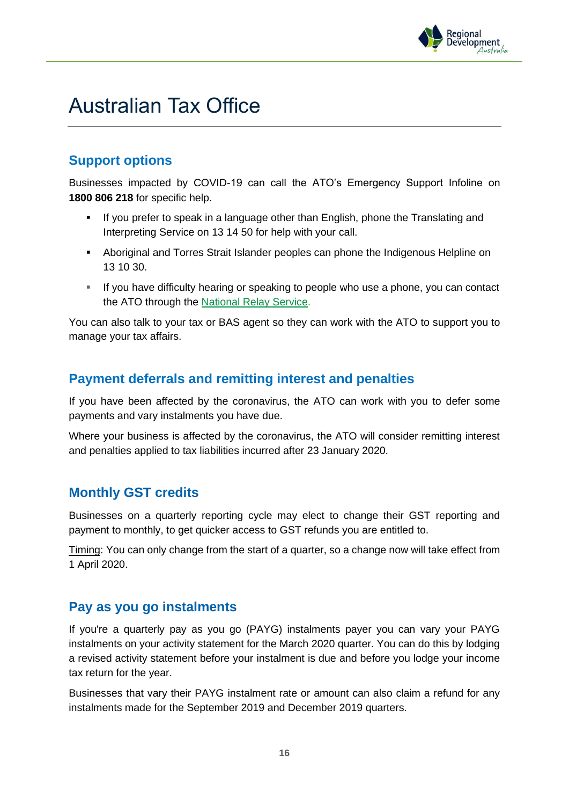

# Australian Tax Office

# **Support options**

Businesses impacted by COVID-19 can call the ATO's Emergency Support Infoline on **1800 806 218** for specific help.

- If you prefer to speak in a language other than English, phone the Translating and Interpreting Service on 13 14 50 for help with your call.
- Aboriginal and Torres Strait Islander peoples can phone the Indigenous Helpline on 13 10 30.
- If you have difficulty hearing or speaking to people who use a phone, you can contact the ATO through the [National Relay Service.](https://www.communications.gov.au/what-we-do/phone/services-people-disability/accesshub/national-relay-service/service-features/national-relay-service-call-numbers)

You can also talk to your tax or BAS agent so they can work with the ATO to support you to manage your tax affairs.

# **Payment deferrals and remitting interest and penalties**

If you have been affected by the coronavirus, the ATO can work with you to defer some payments and vary instalments you have due.

Where your business is affected by the coronavirus, the ATO will consider remitting interest and penalties applied to tax liabilities incurred after 23 January 2020.

#### **Monthly GST credits**

Businesses on a quarterly reporting cycle may elect to change their GST reporting and payment to monthly, to get quicker access to GST refunds you are entitled to.

Timing: You can only change from the start of a quarter, so a change now will take effect from 1 April 2020.

# **Pay as you go instalments**

If you're a quarterly pay as you go (PAYG) instalments payer you can vary your PAYG instalments on your activity statement for the March 2020 quarter. You can do this by lodging a revised activity statement before your instalment is due and before you lodge your income tax return for the year.

Businesses that vary their PAYG instalment rate or amount can also claim a refund for any instalments made for the September 2019 and December 2019 quarters.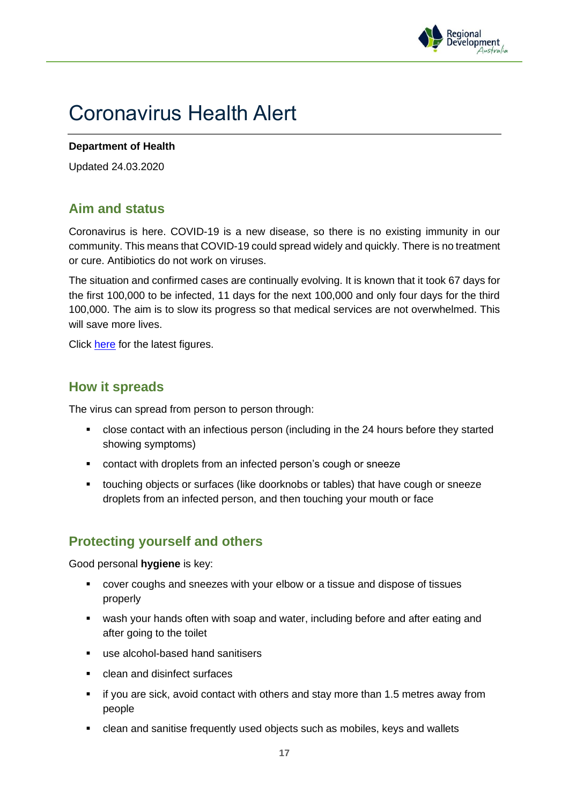

# Coronavirus Health Alert

#### **Department of Health**

Updated 24.03.2020

# **Aim and status**

Coronavirus is here. COVID-19 is a new disease, so there is no existing immunity in our community. This means that COVID-19 could spread widely and quickly. There is no treatment or cure. Antibiotics do not work on viruses.

The situation and confirmed cases are continually evolving. It is known that it took 67 days for the first 100,000 to be infected, 11 days for the next 100,000 and only four days for the third 100,000. The aim is to slow its progress so that medical services are not overwhelmed. This will save more lives.

Click [here](https://www.health.gov.au/news/health-alerts/novel-coronavirus-2019-ncov-health-alert/coronavirus-covid-19-current-situation-and-case-numbers) for the latest figures.

#### **How it spreads**

The virus can spread from person to person through:

- close contact with an infectious person (including in the 24 hours before they started showing symptoms)
- contact with droplets from an infected person's cough or sneeze
- touching objects or surfaces (like doorknobs or tables) that have cough or sneeze droplets from an infected person, and then touching your mouth or face

# **Protecting yourself and others**

Good personal **hygiene** is key:

- cover coughs and sneezes with your elbow or a tissue and dispose of tissues properly
- wash your hands often with soap and water, including before and after eating and after going to the toilet
- use alcohol-based hand sanitisers
- clean and disinfect surfaces
- if you are sick, avoid contact with others and stay more than 1.5 metres away from people
- clean and sanitise frequently used objects such as mobiles, keys and wallets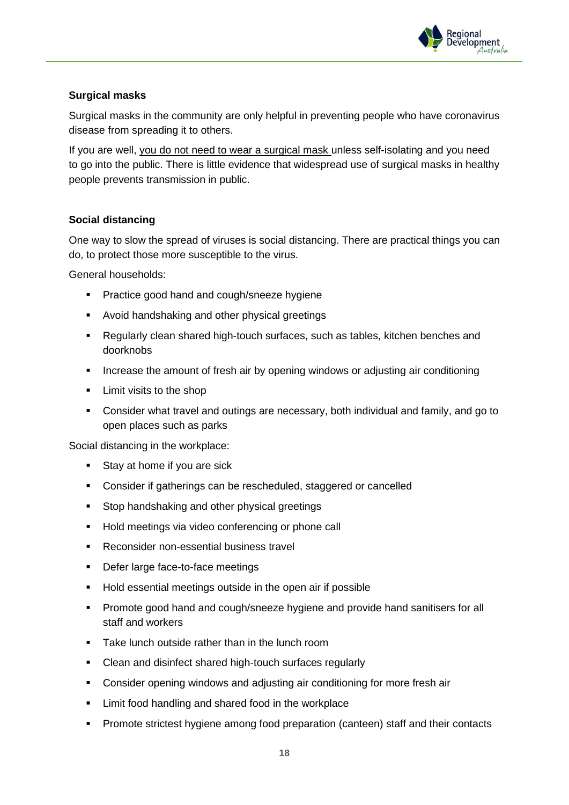

#### **Surgical masks**

Surgical masks in the community are only helpful in preventing people who have coronavirus disease from spreading it to others.

If you are well, you do not need to wear a surgical mask unless self-isolating and you need to go into the public. There is little evidence that widespread use of surgical masks in healthy people prevents transmission in public.

#### **Social distancing**

One way to slow the spread of viruses is social distancing. There are practical things you can do, to protect those more susceptible to the virus.

General households:

- **•** Practice good hand and cough/sneeze hygiene
- Avoid handshaking and other physical greetings
- Regularly clean shared high-touch surfaces, such as tables, kitchen benches and doorknobs
- **EXEDENT** Increase the amount of fresh air by opening windows or adjusting air conditioning
- Limit visits to the shop
- Consider what travel and outings are necessary, both individual and family, and go to open places such as parks

Social distancing in the workplace:

- Stay at home if you are sick
- Consider if gatherings can be rescheduled, staggered or cancelled
- Stop handshaking and other physical greetings
- Hold meetings via video conferencing or phone call
- Reconsider non-essential business travel
- Defer large face-to-face meetings
- Hold essential meetings outside in the open air if possible
- **•** Promote good hand and cough/sneeze hygiene and provide hand sanitisers for all staff and workers
- Take lunch outside rather than in the lunch room
- Clean and disinfect shared high-touch surfaces regularly
- **•** Consider opening windows and adjusting air conditioning for more fresh air
- Limit food handling and shared food in the workplace
- Promote strictest hygiene among food preparation (canteen) staff and their contacts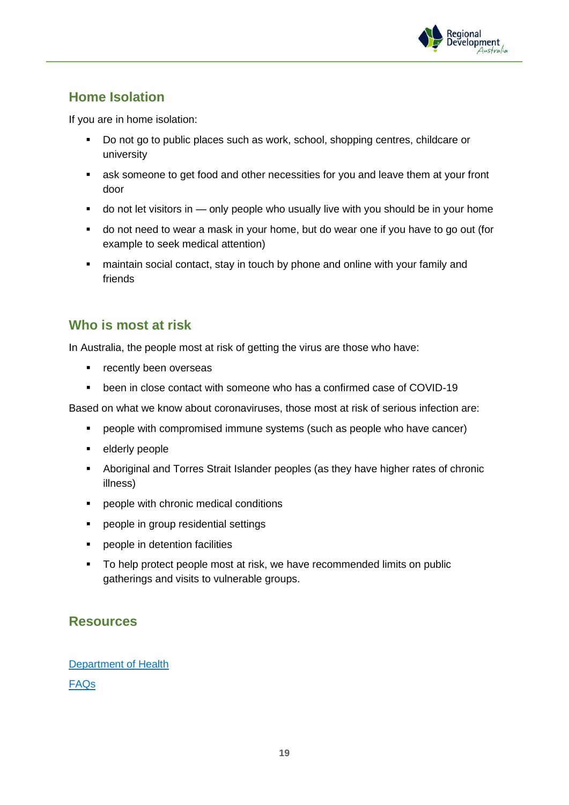

# **Home Isolation**

If you are in home isolation:

- Do not go to public places such as work, school, shopping centres, childcare or university
- **EXE** ask someone to get food and other necessities for you and leave them at your front door
- do not let visitors in only people who usually live with you should be in your home
- do not need to wear a mask in your home, but do wear one if you have to go out (for example to seek medical attention)
- maintain social contact, stay in touch by phone and online with your family and friends

#### **Who is most at risk**

In Australia, the people most at risk of getting the virus are those who have:

- recently been overseas
- been in close contact with someone who has a confirmed case of COVID-19

Based on what we know about coronaviruses, those most at risk of serious infection are:

- people with compromised immune systems (such as people who have cancer)
- elderly people
- Aboriginal and Torres Strait Islander peoples (as they have higher rates of chronic illness)
- people with chronic medical conditions
- people in group residential settings
- people in detention facilities
- To help protect people most at risk, we have recommended limits on public gatherings and visits to vulnerable groups.

# **Resources**

[Department of Health](https://www.health.gov.au/resources/collections/novel-coronavirus-2019-ncov-resources) [FAQs](https://www.health.gov.au/resources/publications/coronavirus-covid-19-frequently-asked-questions)